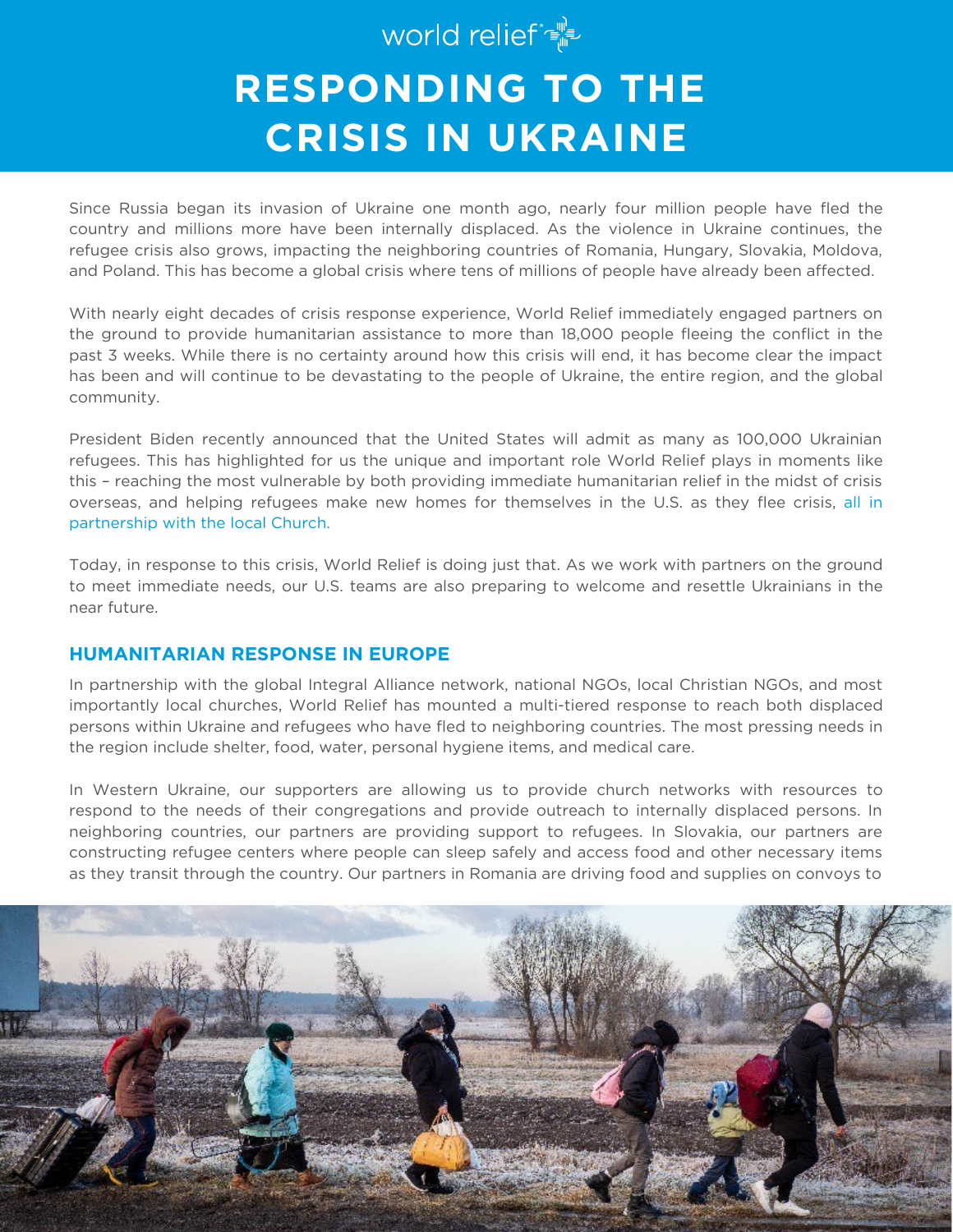# world relief  $\mathbb{P}^{\mathbb{P}^1}$ **RESPONDING TO THE CRISIS IN UKRAINE**

Since Russia began its invasion of Ukraine one month ago, nearly four million people have fled the country and millions more have been internally displaced. As the violence in Ukraine continues, the refugee crisis also grows, impacting the neighboring countries of Romania, Hungary, Slovakia, Moldova, and Poland. This has become a global crisis where tens of millions of people have already been affected.

With nearly eight decades of crisis response experience, World Relief immediately engaged partners on the ground to provide humanitarian assistance to more than 18,000 people fleeing the conflict in the past 3 weeks. While there is no certainty around how this crisis will end, it has become clear the impact has been and will continue to be devastating to the people of Ukraine, the entire region, and the global community.

President Biden recently announced that the United States will admit as many as 100,000 Ukrainian refugees. This has highlighted for us the unique and important role World Relief plays in moments like this – reaching the most vulnerable by both providing immediate humanitarian relief in the midst of crisis overseas, and helping refugees make new homes for themselves in the U.S. as they flee crisis, all in partnership with the local Church.

Today, in response to this crisis, World Relief is doing just that. As we work with partners on the ground to meet immediate needs, our U.S. teams are also preparing to welcome and resettle Ukrainians in the near future.

## **HUMANITARIAN RESPONSE IN EUROPE**

In partnership with the global Integral Alliance network, national NGOs, local Christian NGOs, and most importantly local churches, World Relief has mounted a multi-tiered response to reach both displaced persons within Ukraine and refugees who have fled to neighboring countries. The most pressing needs in the region include shelter, food, water, personal hygiene items, and medical care.

In Western Ukraine, our supporters are allowing us to provide church networks with resources to respond to the needs of their congregations and provide outreach to internally displaced persons. In neighboring countries, our partners are providing support to refugees. In Slovakia, our partners are constructing refugee centers where people can sleep safely and access food and other necessary items as they transit through the country. Our partners in Romania are driving food and supplies on convoys to

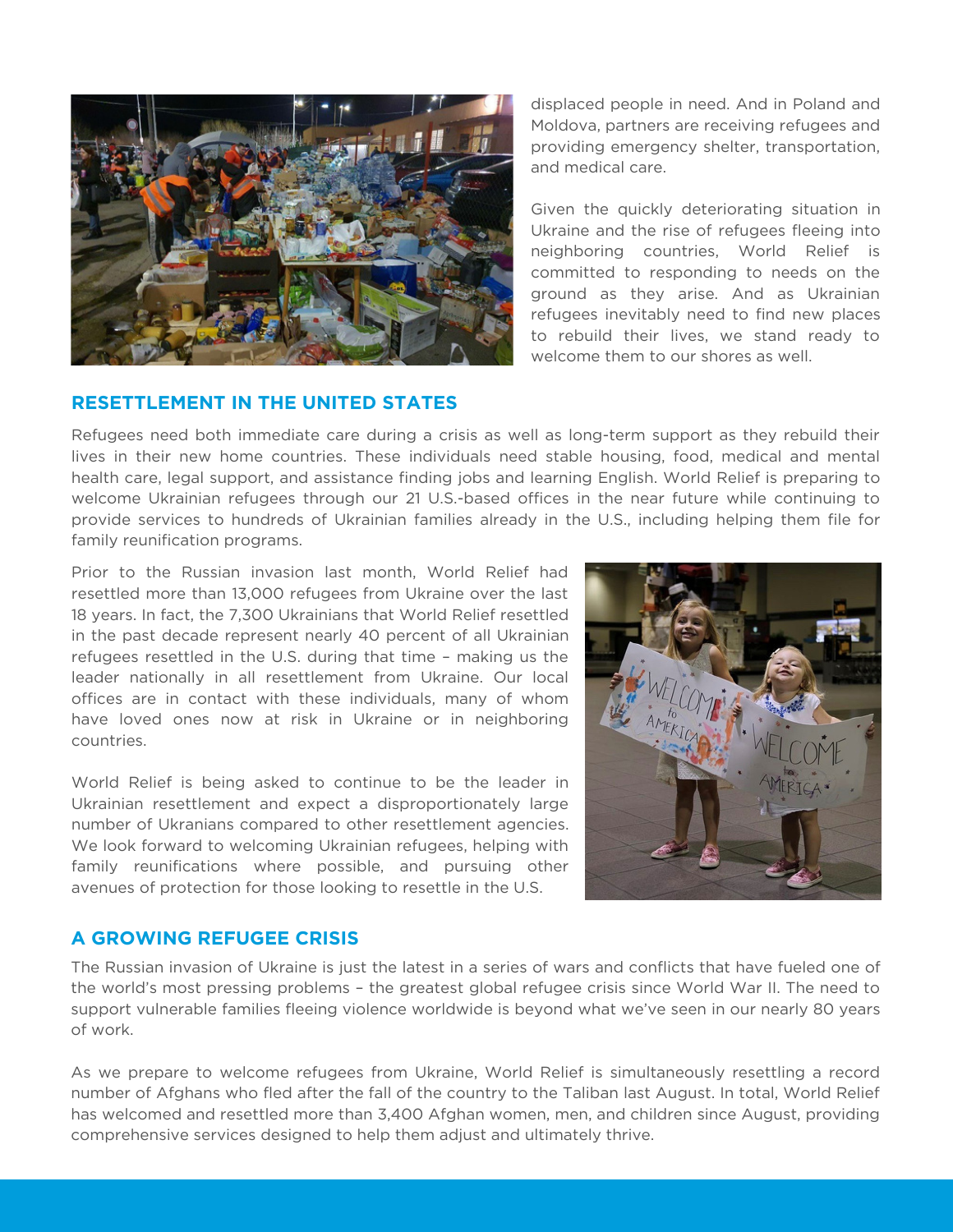

#### **RESETTLEMENT IN THE UNITED STATES**

displaced people in need. And in Poland and Moldova, partners are receiving refugees and providing emergency shelter, transportation, and medical care.

Given the quickly deteriorating situation in Ukraine and the rise of refugees fleeing into neighboring countries, World Relief is committed to responding to needs on the ground as they arise. And as Ukrainian refugees inevitably need to find new places to rebuild their lives, we stand ready to welcome them to our shores as well.

Refugees need both immediate care during a crisis as well as long-term support as they rebuild their lives in their new home countries. These individuals need stable housing, food, medical and mental health care, legal support, and assistance finding jobs and learning English. World Relief is preparing to welcome Ukrainian refugees through our 21 U.S.-based offices in the near future while continuing to provide services to hundreds of Ukrainian families already in the U.S., including helping them file for family reunification programs.

Prior to the Russian invasion last month, World Relief had resettled more than 13,000 refugees from Ukraine over the last 18 years. In fact, the 7,300 Ukrainians that World Relief resettled in the past decade represent nearly 40 percent of all Ukrainian refugees resettled in the U.S. during that time – making us the leader nationally in all resettlement from Ukraine. Our local offices are in contact with these individuals, many of whom have loved ones now at risk in Ukraine or in neighboring countries.

World Relief is being asked to continue to be the leader in Ukrainian resettlement and expect a disproportionately large number of Ukranians compared to other resettlement agencies. We look forward to welcoming Ukrainian refugees, helping with family reunifications where possible, and pursuing other avenues of protection for those looking to resettle in the U.S.



## **A GROWING REFUGEE CRISIS**

The Russian invasion of Ukraine is just the latest in a series of wars and conflicts that have fueled one of the world's most pressing problems – the greatest global refugee crisis since World War II. The need to support vulnerable families fleeing violence worldwide is beyond what we've seen in our nearly 80 years of work.

As we prepare to welcome refugees from Ukraine, World Relief is simultaneously resettling a record number of Afghans who fled after the fall of the country to the Taliban last August. In total, World Relief has welcomed and resettled more than 3,400 Afghan women, men, and children since August, providing comprehensive services designed to help them adjust and ultimately thrive.